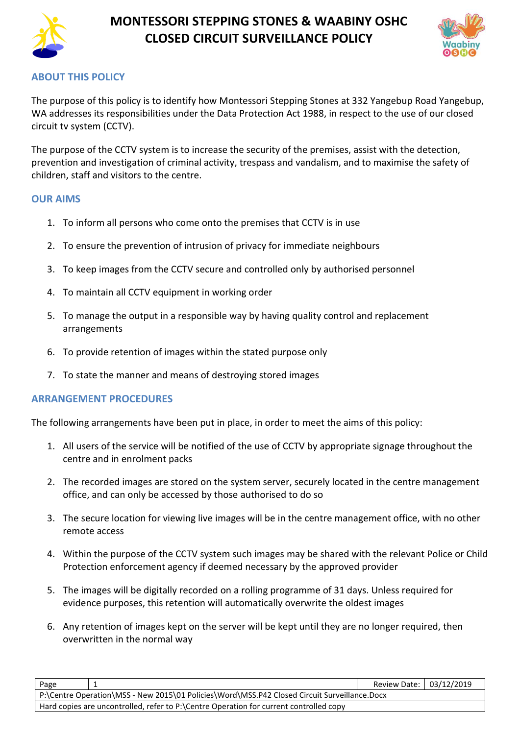

## **MONTESSORI STEPPING STONES & WAABINY OSHC CLOSED CIRCUIT SURVEILLANCE POLICY**



### **ABOUT THIS POLICY**

The purpose of this policy is to identify how Montessori Stepping Stones at 332 Yangebup Road Yangebup, WA addresses its responsibilities under the Data Protection Act 1988, in respect to the use of our closed circuit tv system (CCTV).

The purpose of the CCTV system is to increase the security of the premises, assist with the detection, prevention and investigation of criminal activity, trespass and vandalism, and to maximise the safety of children, staff and visitors to the centre.

#### **OUR AIMS**

- 1. To inform all persons who come onto the premises that CCTV is in use
- 2. To ensure the prevention of intrusion of privacy for immediate neighbours
- 3. To keep images from the CCTV secure and controlled only by authorised personnel
- 4. To maintain all CCTV equipment in working order
- 5. To manage the output in a responsible way by having quality control and replacement arrangements
- 6. To provide retention of images within the stated purpose only
- 7. To state the manner and means of destroying stored images

#### **ARRANGEMENT PROCEDURES**

The following arrangements have been put in place, in order to meet the aims of this policy:

- 1. All users of the service will be notified of the use of CCTV by appropriate signage throughout the centre and in enrolment packs
- 2. The recorded images are stored on the system server, securely located in the centre management office, and can only be accessed by those authorised to do so
- 3. The secure location for viewing live images will be in the centre management office, with no other remote access
- 4. Within the purpose of the CCTV system such images may be shared with the relevant Police or Child Protection enforcement agency if deemed necessary by the approved provider
- 5. The images will be digitally recorded on a rolling programme of 31 days. Unless required for evidence purposes, this retention will automatically overwrite the oldest images
- 6. Any retention of images kept on the server will be kept until they are no longer required, then overwritten in the normal way

| Page                                                                                         |  | Review Date: 03/12/2019 |  |  |  |
|----------------------------------------------------------------------------------------------|--|-------------------------|--|--|--|
| P:\Centre Operation\MSS - New 2015\01 Policies\Word\MSS.P42 Closed Circuit Surveillance.Docx |  |                         |  |  |  |
| Hard copies are uncontrolled, refer to P:\Centre Operation for current controlled copy       |  |                         |  |  |  |